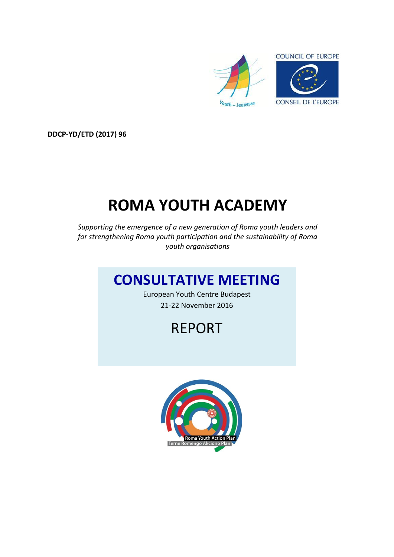

**DDCP-YD/ETD (2017) 96**

# **ROMA YOUTH ACADEMY**

*Supporting the emergence of a new generation of Roma youth leaders and for strengthening Roma youth participation and the sustainability of Roma youth organisations*

### **CONSULTATIVE MEETING**

European Youth Centre Budapest 21-22 November 2016

## REPORT

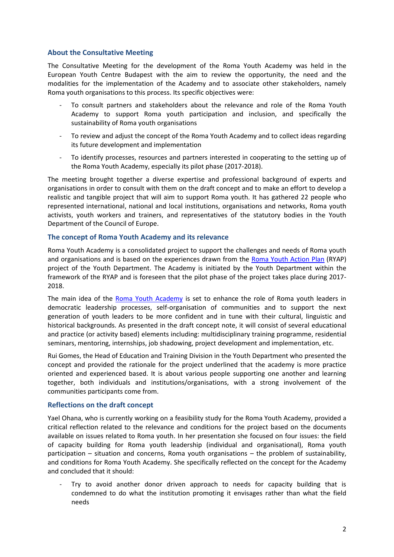#### **About the Consultative Meeting**

The Consultative Meeting for the development of the Roma Youth Academy was held in the European Youth Centre Budapest with the aim to review the opportunity, the need and the modalities for the implementation of the Academy and to associate other stakeholders, namely Roma youth organisations to this process. Its specific objectives were:

- To consult partners and stakeholders about the relevance and role of the Roma Youth Academy to support Roma youth participation and inclusion, and specifically the sustainability of Roma youth organisations
- To review and adjust the concept of the Roma Youth Academy and to collect ideas regarding its future development and implementation
- To identify processes, resources and partners interested in cooperating to the setting up of the Roma Youth Academy, especially its pilot phase (2017-2018).

The meeting brought together a diverse expertise and professional background of experts and organisations in order to consult with them on the draft concept and to make an effort to develop a realistic and tangible project that will aim to support Roma youth. It has gathered 22 people who represented international, national and local institutions, organisations and networks, Roma youth activists, youth workers and trainers, and representatives of the statutory bodies in the Youth Department of the Council of Europe.

#### **The concept of Roma Youth Academy and its relevance**

Roma Youth Academy is a consolidated project to support the challenges and needs of Roma youth and organisations and is based on the experiences drawn from the [Roma Youth Action Plan](http://www.coe.int/en/web/youth-roma/home) (RYAP) project of the Youth Department. The Academy is initiated by the Youth Department within the framework of the RYAP and is foreseen that the pilot phase of the project takes place during 2017- 2018.

The main idea of the [Roma Youth Academy](http://www.coe.int/en/web/youth-roma/roma-youth-academy) is set to enhance the role of Roma youth leaders in democratic leadership processes, self-organisation of communities and to support the next generation of youth leaders to be more confident and in tune with their cultural, linguistic and historical backgrounds. As presented in the draft concept note, it will consist of several educational and practice (or activity based) elements including: multidisciplinary training programme, residential seminars, mentoring, internships, job shadowing, project development and implementation, etc.

Rui Gomes, the Head of Education and Training Division in the Youth Department who presented the concept and provided the rationale for the project underlined that the academy is more practice oriented and experienced based. It is about various people supporting one another and learning together, both individuals and institutions/organisations, with a strong involvement of the communities participants come from.

#### **Reflections on the draft concept**

Yael Ohana, who is currently working on a feasibility study for the Roma Youth Academy, provided a critical reflection related to the relevance and conditions for the project based on the documents available on issues related to Roma youth. In her presentation she focused on four issues: the field of capacity building for Roma youth leadership (individual and organisational), Roma youth participation – situation and concerns, Roma youth organisations – the problem of sustainability, and conditions for Roma Youth Academy. She specifically reflected on the concept for the Academy and concluded that it should:

- Try to avoid another donor driven approach to needs for capacity building that is condemned to do what the institution promoting it envisages rather than what the field needs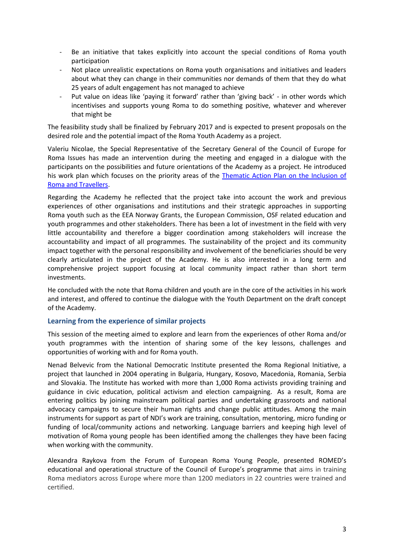- Be an initiative that takes explicitly into account the special conditions of Roma youth participation
- Not place unrealistic expectations on Roma youth organisations and initiatives and leaders about what they can change in their communities nor demands of them that they do what 25 years of adult engagement has not managed to achieve
- Put value on ideas like 'paying it forward' rather than 'giving back' in other words which incentivises and supports young Roma to do something positive, whatever and wherever that might be

The feasibility study shall be finalized by February 2017 and is expected to present proposals on the desired role and the potential impact of the Roma Youth Academy as a project.

Valeriu Nicolae, the Special Representative of the Secretary General of the Council of Europe for Roma Issues has made an intervention during the meeting and engaged in a dialogue with the participants on the possibilities and future orientations of the Academy as a project. He introduced his work plan which focuses on the priority areas of the **Thematic Action Plan on the Inclusion of** [Roma and Travellers.](https://www.google.fr/url?sa=t&rct=j&q=&esrc=s&source=web&cd=1&ved=0ahUKEwjpvYydkNPSAhWQ0RoKHfFwCtcQFggaMAA&url=https%3A%2F%2Frm.coe.int%2FCoERMPublicCommonSearchServices%2FDisplayDCTMContent%3FdocumentId%3D0900001680684b5e&usg=AFQjCNE9mkRz3_8jFSbQ5IDLLA7FQGM8Dw&sig2=iSazQSB60wwEeo16AbwE-g&bvm=bv.149397726,d.d2s&cad=rja)

Regarding the Academy he reflected that the project take into account the work and previous experiences of other organisations and institutions and their strategic approaches in supporting Roma youth such as the EEA Norway Grants, the European Commission, OSF related education and youth programmes and other stakeholders. There has been a lot of investment in the field with very little accountability and therefore a bigger coordination among stakeholders will increase the accountability and impact of all programmes. The sustainability of the project and its community impact together with the personal responsibility and involvement of the beneficiaries should be very clearly articulated in the project of the Academy. He is also interested in a long term and comprehensive project support focusing at local community impact rather than short term investments.

He concluded with the note that Roma children and youth are in the core of the activities in his work and interest, and offered to continue the dialogue with the Youth Department on the draft concept of the Academy.

#### **Learning from the experience of similar projects**

This session of the meeting aimed to explore and learn from the experiences of other Roma and/or youth programmes with the intention of sharing some of the key lessons, challenges and opportunities of working with and for Roma youth.

Nenad Belvevic from the National Democratic Institute presented the Roma Regional Initiative, a project that launched in 2004 operating in Bulgaria, Hungary, Kosovo, Macedonia, Romania, Serbia and Slovakia. The Institute has worked with more than 1,000 Roma activists providing training and guidance in civic education, political activism and election campaigning. As a result, Roma are entering politics by joining mainstream political parties and undertaking grassroots and national advocacy campaigns to secure their human rights and change public attitudes. Among the main instruments for support as part of NDI's work are training, consultation, mentoring, micro funding or funding of local/community actions and networking. Language barriers and keeping high level of motivation of Roma young people has been identified among the challenges they have been facing when working with the community.

Alexandra Raykova from the Forum of European Roma Young People, presented ROMED's educational and operational structure of the Council of Europe's programme that aims in training Roma mediators across Europe where more than 1200 mediators in 22 countries were trained and certified.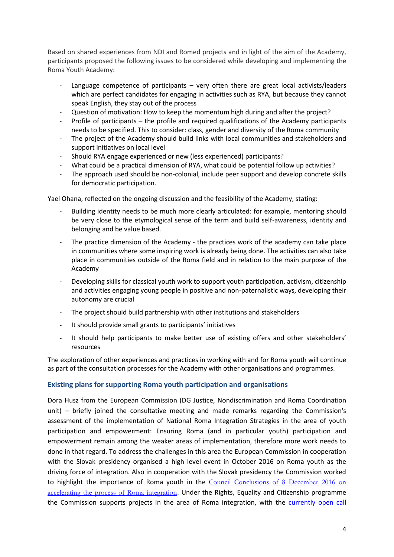Based on shared experiences from NDI and Romed projects and in light of the aim of the Academy, participants proposed the following issues to be considered while developing and implementing the Roma Youth Academy:

- Language competence of participants  $-$  very often there are great local activists/leaders which are perfect candidates for engaging in activities such as RYA, but because they cannot speak English, they stay out of the process
- Question of motivation: How to keep the momentum high during and after the project?
- Profile of participants the profile and required qualifications of the Academy participants needs to be specified. This to consider: class, gender and diversity of the Roma community
- The project of the Academy should build links with local communities and stakeholders and support initiatives on local level
- Should RYA engage experienced or new (less experienced) participants?
- What could be a practical dimension of RYA, what could be potential follow up activities?
- The approach used should be non-colonial, include peer support and develop concrete skills for democratic participation.

Yael Ohana, reflected on the ongoing discussion and the feasibility of the Academy, stating:

- Building identity needs to be much more clearly articulated: for example, mentoring should be very close to the etymological sense of the term and build self-awareness, identity and belonging and be value based.
- The practice dimension of the Academy the practices work of the academy can take place in communities where some inspiring work is already being done. The activities can also take place in communities outside of the Roma field and in relation to the main purpose of the Academy
- Developing skills for classical youth work to support youth participation, activism, citizenship and activities engaging young people in positive and non-paternalistic ways, developing their autonomy are crucial
- The project should build partnership with other institutions and stakeholders
- It should provide small grants to participants' initiatives
- It should help participants to make better use of existing offers and other stakeholders' resources

The exploration of other experiences and practices in working with and for Roma youth will continue as part of the consultation processes for the Academy with other organisations and programmes.

#### **Existing plans for supporting Roma youth participation and organisations**

Dora Husz from the European Commission (DG Justice, Nondiscrimination and Roma Coordination unit) – briefly joined the consultative meeting and made remarks regarding the Commission's assessment of the implementation of National Roma Integration Strategies in the area of youth participation and empowerment: Ensuring Roma (and in particular youth) participation and empowerment remain among the weaker areas of implementation, therefore more work needs to done in that regard. To address the challenges in this area the European Commission in cooperation with the Slovak presidency organised a high level event in October 2016 on Roma youth as the driving force of integration. Also in cooperation with the Slovak presidency the Commission worked to highlight the importance of Roma youth in the [Council Conclusions of 8 December 2016 on](http://data.consilium.europa.eu/doc/document/ST-14294-2016-INIT/en/pdf)  [accelerating the process of Roma integration](http://data.consilium.europa.eu/doc/document/ST-14294-2016-INIT/en/pdf). Under the Rights, Equality and Citizenship programme the Commission supports projects in the area of Roma integration, with the [currently open call](http://ec.europa.eu/research/participants/portal/desktop/en/opportunities/rec/topics/rec-rdis-disc-ag-2016.html)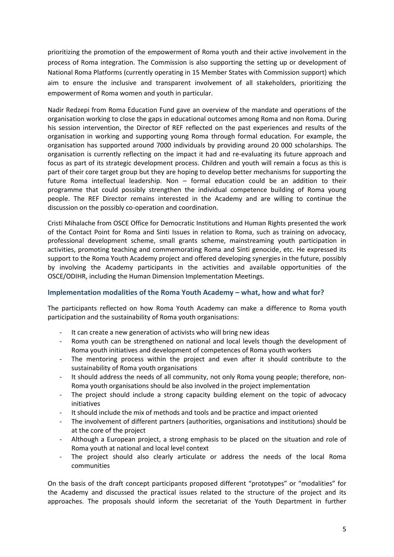prioritizing the promotion of the empowerment of Roma youth and their active involvement in the process of Roma integration. The Commission is also supporting the setting up or development of National Roma Platforms (currently operating in 15 Member States with Commission support) which aim to ensure the inclusive and transparent involvement of all stakeholders, prioritizing the empowerment of Roma women and youth in particular.

Nadir Redzepi from Roma Education Fund gave an overview of the mandate and operations of the organisation working to close the gaps in educational outcomes among Roma and non Roma. During his session intervention, the Director of REF reflected on the past experiences and results of the organisation in working and supporting young Roma through formal education. For example, the organisation has supported around 7000 individuals by providing around 20 000 scholarships. The organisation is currently reflecting on the impact it had and re-evaluating its future approach and focus as part of its strategic development process. Children and youth will remain a focus as this is part of their core target group but they are hoping to develop better mechanisms for supporting the future Roma intellectual leadership. Non – formal education could be an addition to their programme that could possibly strengthen the individual competence building of Roma young people. The REF Director remains interested in the Academy and are willing to continue the discussion on the possibly co-operation and coordination.

Cristi Mihalache from OSCE Office for Democratic Institutions and Human Rights presented the work of the Contact Point for Roma and Sinti Issues in relation to Roma, such as training on advocacy, professional development scheme, small grants scheme, mainstreaming youth participation in activities, promoting teaching and commemorating Roma and Sinti genocide, etc. He expressed its support to the Roma Youth Academy project and offered developing synergies in the future, possibly by involving the Academy participants in the activities and available opportunities of the OSCE/ODIHR, including the Human Dimension Implementation Meetings.

#### **Implementation modalities of the Roma Youth Academy – what, how and what for?**

The participants reflected on how Roma Youth Academy can make a difference to Roma youth participation and the sustainability of Roma youth organisations:

- It can create a new generation of activists who will bring new ideas
- Roma youth can be strengthened on national and local levels though the development of Roma youth initiatives and development of competences of Roma youth workers
- The mentoring process within the project and even after it should contribute to the sustainability of Roma youth organisations
- It should address the needs of all community, not only Roma young people; therefore, non-Roma youth organisations should be also involved in the project implementation
- The project should include a strong capacity building element on the topic of advocacy initiatives
- It should include the mix of methods and tools and be practice and impact oriented
- The involvement of different partners (authorities, organisations and institutions) should be at the core of the project
- Although a European project, a strong emphasis to be placed on the situation and role of Roma youth at national and local level context
- The project should also clearly articulate or address the needs of the local Roma communities

On the basis of the draft concept participants proposed different "prototypes" or "modalities" for the Academy and discussed the practical issues related to the structure of the project and its approaches. The proposals should inform the secretariat of the Youth Department in further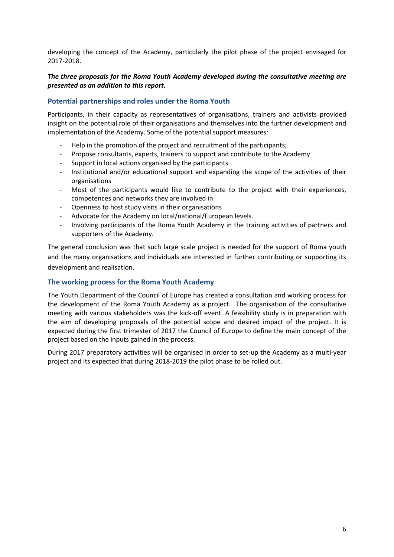developing the concept of the Academy, particularly the pilot phase of the project envisaged for 2017-2018.

#### *The three proposals for the Roma Youth Academy developed during the consultative meeting are presented as an addition to this report.*

#### **Potential partnerships and roles under the Roma Youth**

Participants, in their capacity as representatives of organisations, trainers and activists provided insight on the potential role of their organisations and themselves into the further development and implementation of the Academy. Some of the potential support measures:

- Help in the promotion of the project and recruitment of the participants;
- Propose consultants, experts, trainers to support and contribute to the Academy
- Support in local actions organised by the participants
- Institutional and/or educational support and expanding the scope of the activities of their organisations
- Most of the participants would like to contribute to the project with their experiences, competences and networks they are involved in
- Openness to host study visits in their organisations
- Advocate for the Academy on local/national/European levels.
- Involving participants of the Roma Youth Academy in the training activities of partners and supporters of the Academy.

The general conclusion was that such large scale project is needed for the support of Roma youth and the many organisations and individuals are interested in further contributing or supporting its development and realisation.

#### **The working process for the Roma Youth Academy**

The Youth Department of the Council of Europe has created a consultation and working process for the development of the Roma Youth Academy as a project. The organisation of the consultative meeting with various stakeholders was the kick-off event. A feasibility study is in preparation with the aim of developing proposals of the potential scope and desired impact of the project. It is expected during the first trimester of 2017 the Council of Europe to define the main concept of the project based on the inputs gained in the process.

During 2017 preparatory activities will be organised in order to set-up the Academy as a multi-year project and its expected that during 2018-2019 the pilot phase to be rolled out.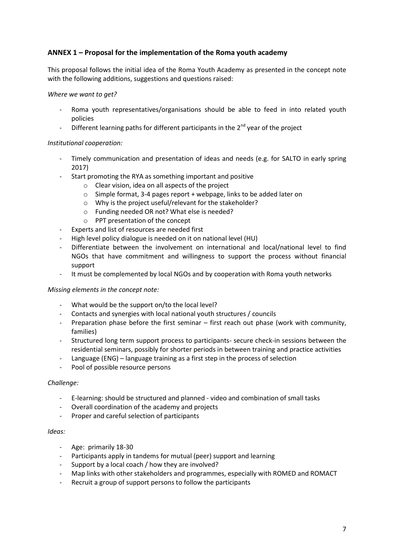#### **ANNEX 1 – Proposal for the implementation of the Roma youth academy**

This proposal follows the initial idea of the Roma Youth Academy as presented in the concept note with the following additions, suggestions and questions raised:

#### *Where we want to get?*

- Roma youth representatives/organisations should be able to feed in into related youth policies
- Different learning paths for different participants in the  $2^{nd}$  year of the project

#### *Institutional cooperation:*

- Timely communication and presentation of ideas and needs (e.g. for SALTO in early spring 2017)
- Start promoting the RYA as something important and positive
	- o Clear vision, idea on all aspects of the project
	- o Simple format, 3-4 pages report + webpage, links to be added later on
	- o Why is the project useful/relevant for the stakeholder?
	- o Funding needed OR not? What else is needed?
	- o PPT presentation of the concept
- Experts and list of resources are needed first
- High level policy dialogue is needed on it on national level (HU)
- Differentiate between the involvement on international and local/national level to find NGOs that have commitment and willingness to support the process without financial support
- It must be complemented by local NGOs and by cooperation with Roma youth networks

#### *Missing elements in the concept note:*

- What would be the support on/to the local level?
- Contacts and synergies with local national youth structures / councils
- Preparation phase before the first seminar first reach out phase (work with community, families)
- Structured long term support process to participants- secure check-in sessions between the residential seminars, possibly for shorter periods in between training and practice activities
- Language (ENG) language training as a first step in the process of selection
- Pool of possible resource persons

#### *Challenge:*

- E-learning: should be structured and planned video and combination of small tasks
- Overall coordination of the academy and projects
- Proper and careful selection of participants

#### *Ideas:*

- Age: primarily 18-30
- Participants apply in tandems for mutual (peer) support and learning
- Support by a local coach / how they are involved?
- Map links with other stakeholders and programmes, especially with ROMED and ROMACT
- Recruit a group of support persons to follow the participants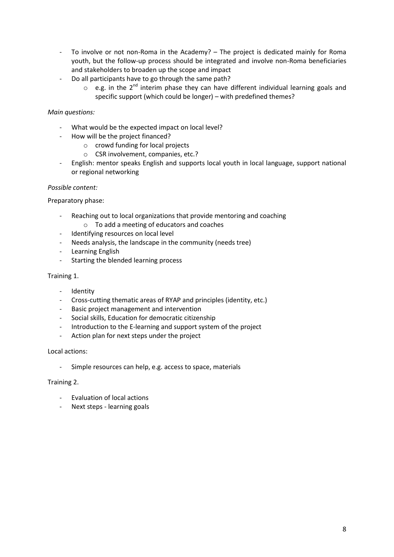- To involve or not non-Roma in the Academy? The project is dedicated mainly for Roma youth, but the follow-up process should be integrated and involve non-Roma beneficiaries and stakeholders to broaden up the scope and impact
- Do all participants have to go through the same path?
	- $\circ$  e.g. in the 2<sup>nd</sup> interim phase they can have different individual learning goals and specific support (which could be longer) – with predefined themes?

#### *Main questions:*

- What would be the expected impact on local level?
- How will be the project financed?
	- o crowd funding for local projects
	- o CSR involvement, companies, etc.?
- English: mentor speaks English and supports local youth in local language, support national or regional networking

#### *Possible content:*

Preparatory phase:

- Reaching out to local organizations that provide mentoring and coaching
	- o To add a meeting of educators and coaches
- Identifying resources on local level
- Needs analysis, the landscape in the community (needs tree)
- Learning English
- Starting the blended learning process

#### Training 1.

- Identity
- Cross-cutting thematic areas of RYAP and principles (identity, etc.)
- Basic project management and intervention
- Social skills, Education for democratic citizenship
- Introduction to the E-learning and support system of the project
- Action plan for next steps under the project

#### Local actions:

Simple resources can help, e.g. access to space, materials

#### Training 2.

- Evaluation of local actions
- Next steps learning goals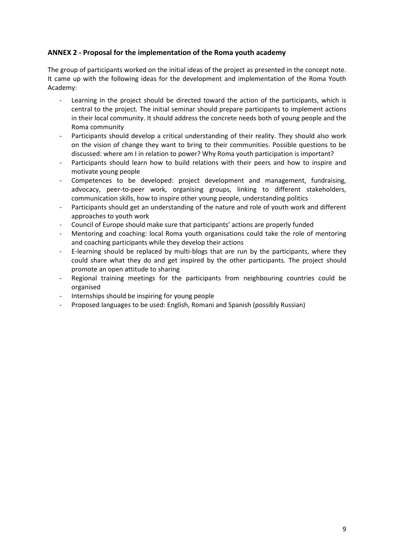#### **ANNEX 2 - Proposal for the implementation of the Roma youth academy**

The group of participants worked on the initial ideas of the project as presented in the concept note. It came up with the following ideas for the development and implementation of the Roma Youth Academy:

- Learning in the project should be directed toward the action of the participants, which is central to the project. The initial seminar should prepare participants to implement actions in their local community. It should address the concrete needs both of young people and the Roma community
- Participants should develop a critical understanding of their reality. They should also work on the vision of change they want to bring to their communities. Possible questions to be discussed: where am I in relation to power? Why Roma youth participation is important?
- Participants should learn how to build relations with their peers and how to inspire and motivate young people
- Competences to be developed: project development and management, fundraising, advocacy, peer-to-peer work, organising groups, linking to different stakeholders, communication skills, how to inspire other young people, understanding politics
- Participants should get an understanding of the nature and role of youth work and different approaches to youth work
- Council of Europe should make sure that participants' actions are properly funded
- Mentoring and coaching: local Roma youth organisations could take the role of mentoring and coaching participants while they develop their actions
- E-learning should be replaced by multi-blogs that are run by the participants, where they could share what they do and get inspired by the other participants. The project should promote an open attitude to sharing
- Regional training meetings for the participants from neighbouring countries could be organised
- Internships should be inspiring for young people
- Proposed languages to be used: English, Romani and Spanish (possibly Russian)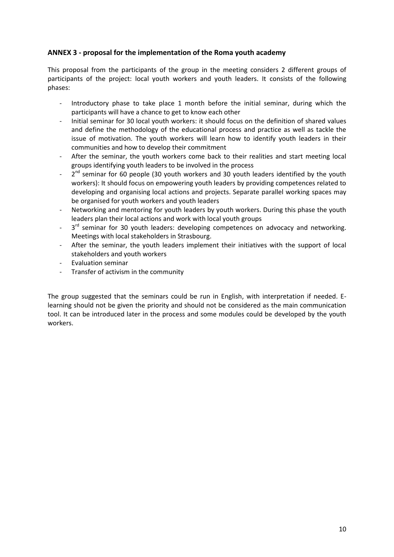#### **ANNEX 3 - proposal for the implementation of the Roma youth academy**

This proposal from the participants of the group in the meeting considers 2 different groups of participants of the project: local youth workers and youth leaders. It consists of the following phases:

- Introductory phase to take place 1 month before the initial seminar, during which the participants will have a chance to get to know each other
- Initial seminar for 30 local youth workers: it should focus on the definition of shared values and define the methodology of the educational process and practice as well as tackle the issue of motivation. The youth workers will learn how to identify youth leaders in their communities and how to develop their commitment
- After the seminar, the youth workers come back to their realities and start meeting local groups identifying youth leaders to be involved in the process
- $2<sup>nd</sup>$  seminar for 60 people (30 youth workers and 30 youth leaders identified by the youth workers): It should focus on empowering youth leaders by providing competences related to developing and organising local actions and projects. Separate parallel working spaces may be organised for youth workers and youth leaders
- Networking and mentoring for youth leaders by youth workers. During this phase the youth leaders plan their local actions and work with local youth groups
- $-$  3  $3<sup>rd</sup>$  seminar for 30 youth leaders: developing competences on advocacy and networking. Meetings with local stakeholders in Strasbourg.
- After the seminar, the youth leaders implement their initiatives with the support of local stakeholders and youth workers
- Evaluation seminar
- Transfer of activism in the community

The group suggested that the seminars could be run in English, with interpretation if needed. Elearning should not be given the priority and should not be considered as the main communication tool. It can be introduced later in the process and some modules could be developed by the youth workers.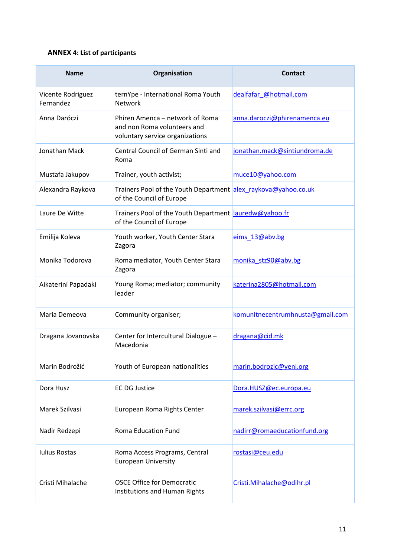#### **ANNEX 4: List of participants**

| <b>Name</b>                    | Organisation                                                                                      | <b>Contact</b>                   |
|--------------------------------|---------------------------------------------------------------------------------------------------|----------------------------------|
| Vicente Rodriguez<br>Fernandez | ternYpe - International Roma Youth<br><b>Network</b>                                              | dealfafar @hotmail.com           |
| Anna Daróczi                   | Phiren Amenca – network of Roma<br>and non Roma volunteers and<br>voluntary service organizations | anna.daroczi@phirenamenca.eu     |
| Jonathan Mack                  | Central Council of German Sinti and<br>Roma                                                       | jonathan.mack@sintiundroma.de    |
| Mustafa Jakupov                | Trainer, youth activist;                                                                          | muce10@yahoo.com                 |
| Alexandra Raykova              | Trainers Pool of the Youth Department alex raykova@yahoo.co.uk<br>of the Council of Europe        |                                  |
| Laure De Witte                 | Trainers Pool of the Youth Department lauredw@yahoo.fr<br>of the Council of Europe                |                                  |
| Emilija Koleva                 | Youth worker, Youth Center Stara<br>Zagora                                                        | eims_13@abv.bg                   |
| Monika Todorova                | Roma mediator, Youth Center Stara<br>Zagora                                                       | monika stz90@abv.bg              |
| Aikaterini Papadaki            | Young Roma; mediator; community<br>leader                                                         | katerina2805@hotmail.com         |
| Maria Demeova                  | Community organiser;                                                                              | komunitnecentrumhnusta@gmail.com |
| Dragana Jovanovska             | Center for Intercultural Dialogue -<br>Macedonia                                                  | dragana@cid.mk                   |
| Marin Bodrožić                 | Youth of European nationalities                                                                   | marin.bodrozic@yeni.org          |
| Dora Husz                      | <b>EC DG Justice</b>                                                                              | Dora.HUSZ@ec.europa.eu           |
| Marek Szilvasi                 | European Roma Rights Center                                                                       | marek.szilvasi@errc.org          |
| Nadir Redzepi                  | <b>Roma Education Fund</b>                                                                        | nadirr@romaeducationfund.org     |
| <b>Iulius Rostas</b>           | Roma Access Programs, Central<br><b>European University</b>                                       | rostasi@ceu.edu                  |
| Cristi Mihalache               | <b>OSCE Office for Democratic</b><br>Institutions and Human Rights                                | Cristi.Mihalache@odihr.pl        |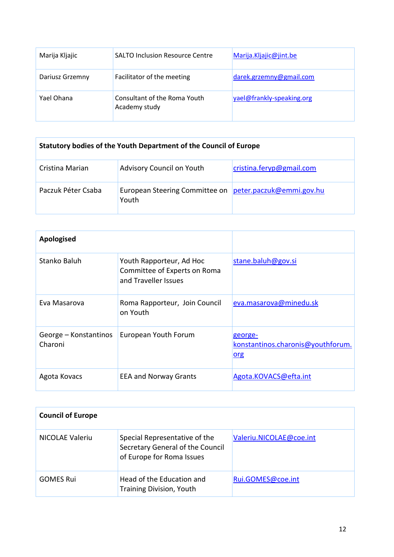| Marija Kljajic  | <b>SALTO Inclusion Resource Centre</b>        | Marija.Kljajic@jint.be    |
|-----------------|-----------------------------------------------|---------------------------|
| Dariusz Grzemny | Facilitator of the meeting                    | darek.grzemny@gmail.com   |
| Yael Ohana      | Consultant of the Roma Youth<br>Academy study | yael@frankly-speaking.org |

| Statutory bodies of the Youth Department of the Council of Europe |                                         |                          |
|-------------------------------------------------------------------|-----------------------------------------|--------------------------|
| Cristina Marian                                                   | Advisory Council on Youth               | cristina.feryp@gmail.com |
| Paczuk Péter Csaba                                                | European Steering Committee on<br>Youth | peter.paczuk@emmi.gov.hu |

| Apologised                       |                                                                                  |                                                                   |
|----------------------------------|----------------------------------------------------------------------------------|-------------------------------------------------------------------|
| Stanko Baluh                     | Youth Rapporteur, Ad Hoc<br>Committee of Experts on Roma<br>and Traveller Issues | stane.baluh@gov.si                                                |
| Eva Masarova                     | Roma Rapporteur, Join Council<br>on Youth                                        | eva.masarova@minedu.sk                                            |
| George – Konstantinos<br>Charoni | European Youth Forum                                                             | <u>george-</u><br>konstantinos.charonis@youthforum.<br><u>org</u> |
| Agota Kovacs                     | <b>EEA and Norway Grants</b>                                                     | Agota.KOVACS@efta.int                                             |

| <b>Council of Europe</b> |                                                                                                |                         |  |
|--------------------------|------------------------------------------------------------------------------------------------|-------------------------|--|
| NICOLAE Valeriu          | Special Representative of the<br>Secretary General of the Council<br>of Europe for Roma Issues | Valeriu.NICOLAE@coe.int |  |
| <b>GOMES Rui</b>         | Head of the Education and<br><b>Training Division, Youth</b>                                   | Rui.GOMES@coe.int       |  |